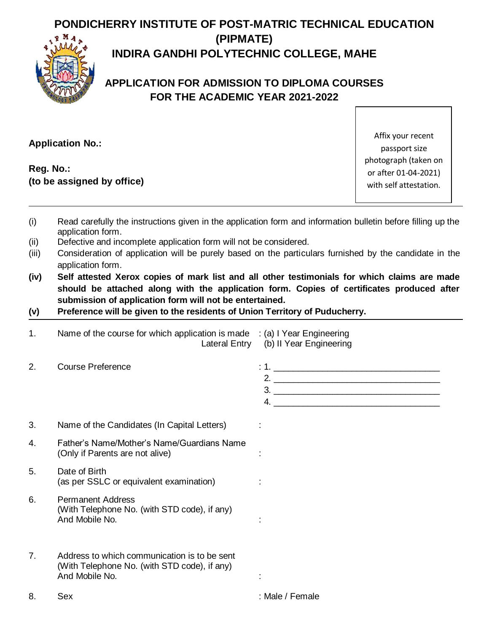## **PONDICHERRY INSTITUTE OF POST-MATRIC TECHNICAL EDUCATION (PIPMATE) INDIRA GANDHI POLYTECHNIC COLLEGE, MAHE**



## **APPLICATION FOR ADMISSION TO DIPLOMA COURSES FOR THE ACADEMIC YEAR 2021-2022**

| <b>Application No.:</b>                 |                                                                          |  |  |  |
|-----------------------------------------|--------------------------------------------------------------------------|--|--|--|
| Reg. No.:<br>(to be assigned by office) |                                                                          |  |  |  |
| (i)                                     | Read carefully the instructions given in the applic<br>application form. |  |  |  |
| (ii)                                    | Defective and incomplete application form will no                        |  |  |  |

Affix your recent passport size photograph (taken on or after 01-04-2021) with self attestation.

- cation form and information bulletin before filling up the
- (ii) Defective and incomplete application form will not be considered.
- (iii) Consideration of application will be purely based on the particulars furnished by the candidate in the application form.
- **(iv) Self attested Xerox copies of mark list and all other testimonials for which claims are made should be attached along with the application form. Copies of certificates produced after submission of application form will not be entertained.**
- **(v) Preference will be given to the residents of Union Territory of Puducherry.**

| 1 <sub>1</sub> | Name of the course for which application is made $\therefore$ (a) I Year Engineering                           | Lateral Entry (b) II Year Engineering                                                                                                                                                 |
|----------------|----------------------------------------------------------------------------------------------------------------|---------------------------------------------------------------------------------------------------------------------------------------------------------------------------------------|
| 2.             | <b>Course Preference</b>                                                                                       | 2. $\overline{\phantom{a} \phantom{a} \phantom{a} \phantom{a} \phantom{a}}$<br>$\begin{array}{c}\n3. \quad \textcolor{red}{\overbrace{\text{---}}\text{---}}\n\end{array}$<br>$4. \_$ |
| 3.             | Name of the Candidates (In Capital Letters)                                                                    |                                                                                                                                                                                       |
| 4.             | Father's Name/Mother's Name/Guardians Name<br>(Only if Parents are not alive)                                  |                                                                                                                                                                                       |
| 5.             | Date of Birth<br>(as per SSLC or equivalent examination)                                                       |                                                                                                                                                                                       |
| 6.             | <b>Permanent Address</b><br>(With Telephone No. (with STD code), if any)<br>And Mobile No.                     |                                                                                                                                                                                       |
| 7 <sub>1</sub> | Address to which communication is to be sent<br>(With Telephone No. (with STD code), if any)<br>And Mobile No. |                                                                                                                                                                                       |
| 8.             | Sex                                                                                                            | : Male / Female                                                                                                                                                                       |